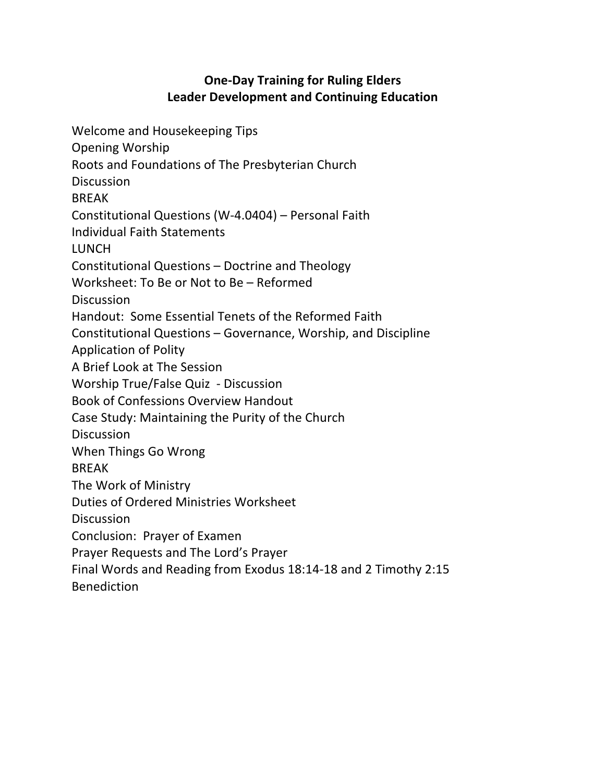# **One-Day Training for Ruling Elders Leader Development and Continuing Education**

Welcome and Housekeeping Tips Opening Worship Roots and Foundations of The Presbyterian Church Discussion BREAK Constitutional Questions (W-4.0404) – Personal Faith Individual Faith Statements LUNCH Constitutional Questions – Doctrine and Theology Worksheet: To Be or Not to Be – Reformed **Discussion** Handout: Some Essential Tenets of the Reformed Faith Constitutional Questions – Governance, Worship, and Discipline Application of Polity A Brief Look at The Session Worship True/False Quiz - Discussion Book of Confessions Overview Handout Case Study: Maintaining the Purity of the Church **Discussion** When Things Go Wrong BREAK The Work of Ministry Duties of Ordered Ministries Worksheet **Discussion** Conclusion: Prayer of Examen Prayer Requests and The Lord's Prayer Final Words and Reading from Exodus 18:14-18 and 2 Timothy 2:15 Benediction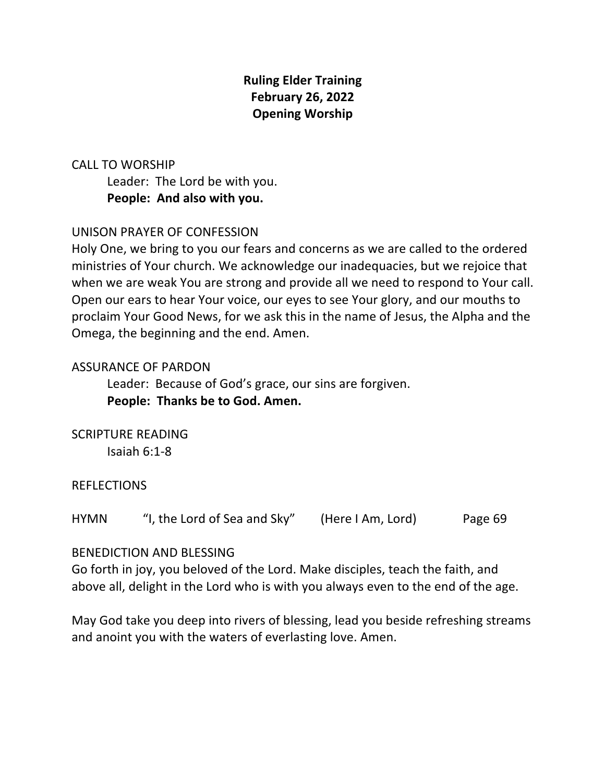# **Ruling Elder Training February 26, 2022 Opening Worship**

# CALL TO WORSHIP

Leader: The Lord be with you. **People: And also with you.**

## UNISON PRAYER OF CONFESSION

Holy One, we bring to you our fears and concerns as we are called to the ordered ministries of Your church. We acknowledge our inadequacies, but we rejoice that when we are weak You are strong and provide all we need to respond to Your call. Open our ears to hear Your voice, our eyes to see Your glory, and our mouths to proclaim Your Good News, for we ask this in the name of Jesus, the Alpha and the Omega, the beginning and the end. Amen.

#### ASSURANCE OF PARDON

Leader: Because of God's grace, our sins are forgiven. **People: Thanks be to God. Amen.**

SCRIPTURE READING Isaiah 6:1-8

REFLECTIONS

HYMN "I, the Lord of Sea and Sky" (Here I Am, Lord) Page 69

#### BENEDICTION AND BLESSING

Go forth in joy, you beloved of the Lord. Make disciples, teach the faith, and above all, delight in the Lord who is with you always even to the end of the age.

May God take you deep into rivers of blessing, lead you beside refreshing streams and anoint you with the waters of everlasting love. Amen.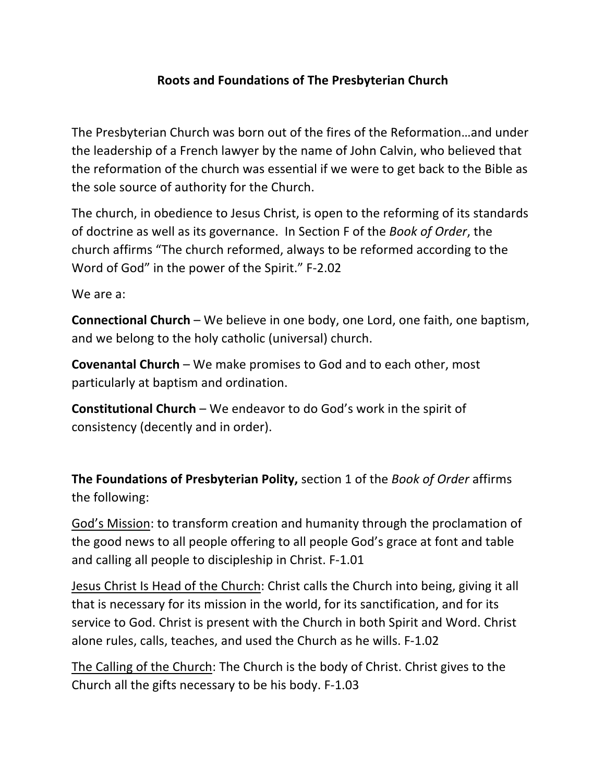# **Roots and Foundations of The Presbyterian Church**

The Presbyterian Church was born out of the fires of the Reformation…and under the leadership of a French lawyer by the name of John Calvin, who believed that the reformation of the church was essential if we were to get back to the Bible as the sole source of authority for the Church.

The church, in obedience to Jesus Christ, is open to the reforming of its standards of doctrine as well as its governance. In Section F of the *Book of Order*, the church affirms "The church reformed, always to be reformed according to the Word of God" in the power of the Spirit." F-2.02

We are a:

**Connectional Church** – We believe in one body, one Lord, one faith, one baptism, and we belong to the holy catholic (universal) church.

**Covenantal Church** – We make promises to God and to each other, most particularly at baptism and ordination.

**Constitutional Church** – We endeavor to do God's work in the spirit of consistency (decently and in order).

**The Foundations of Presbyterian Polity,** section 1 of the *Book of Order* affirms the following:

God's Mission: to transform creation and humanity through the proclamation of the good news to all people offering to all people God's grace at font and table and calling all people to discipleship in Christ. F-1.01

Jesus Christ Is Head of the Church: Christ calls the Church into being, giving it all that is necessary for its mission in the world, for its sanctification, and for its service to God. Christ is present with the Church in both Spirit and Word. Christ alone rules, calls, teaches, and used the Church as he wills. F-1.02

The Calling of the Church: The Church is the body of Christ. Christ gives to the Church all the gifts necessary to be his body. F-1.03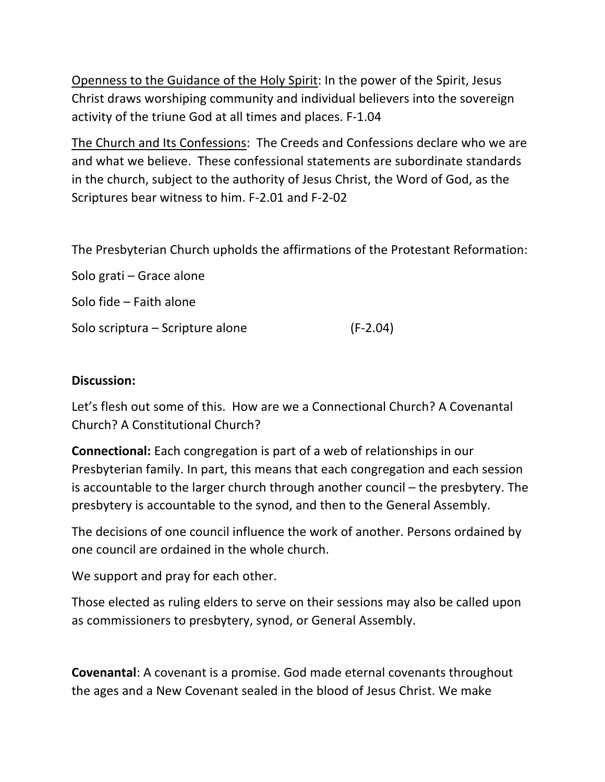Openness to the Guidance of the Holy Spirit: In the power of the Spirit, Jesus Christ draws worshiping community and individual believers into the sovereign activity of the triune God at all times and places. F-1.04

The Church and Its Confessions: The Creeds and Confessions declare who we are and what we believe. These confessional statements are subordinate standards in the church, subject to the authority of Jesus Christ, the Word of God, as the Scriptures bear witness to him. F-2.01 and F-2-02

The Presbyterian Church upholds the affirmations of the Protestant Reformation:

Solo grati – Grace alone Solo fide – Faith alone Solo scriptura – Scripture alone (F-2.04)

#### **Discussion:**

Let's flesh out some of this. How are we a Connectional Church? A Covenantal Church? A Constitutional Church?

**Connectional:** Each congregation is part of a web of relationships in our Presbyterian family. In part, this means that each congregation and each session is accountable to the larger church through another council – the presbytery. The presbytery is accountable to the synod, and then to the General Assembly.

The decisions of one council influence the work of another. Persons ordained by one council are ordained in the whole church.

We support and pray for each other.

Those elected as ruling elders to serve on their sessions may also be called upon as commissioners to presbytery, synod, or General Assembly.

**Covenantal**: A covenant is a promise. God made eternal covenants throughout the ages and a New Covenant sealed in the blood of Jesus Christ. We make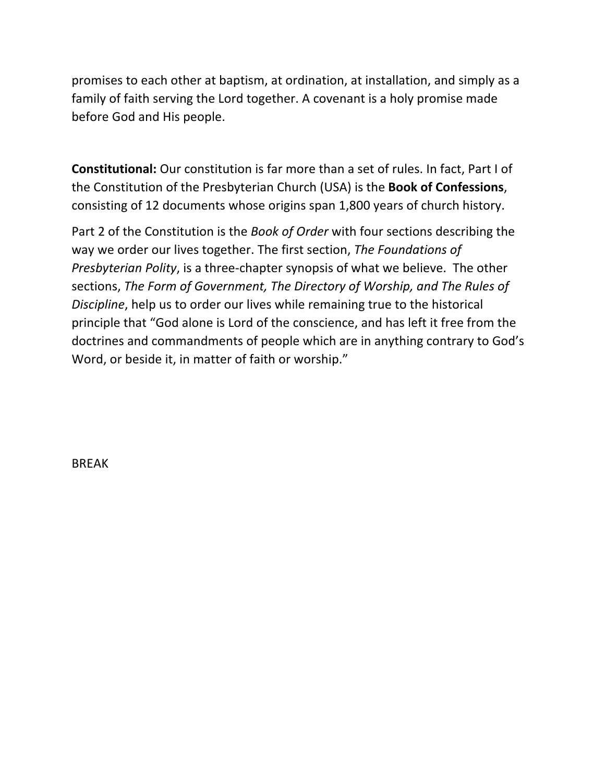promises to each other at baptism, at ordination, at installation, and simply as a family of faith serving the Lord together. A covenant is a holy promise made before God and His people.

**Constitutional:** Our constitution is far more than a set of rules. In fact, Part I of the Constitution of the Presbyterian Church (USA) is the **Book of Confessions**, consisting of 12 documents whose origins span 1,800 years of church history.

Part 2 of the Constitution is the *Book of Order* with four sections describing the way we order our lives together. The first section, *The Foundations of Presbyterian Polity*, is a three-chapter synopsis of what we believe. The other sections, *The Form of Government, The Directory of Worship, and The Rules of Discipline*, help us to order our lives while remaining true to the historical principle that "God alone is Lord of the conscience, and has left it free from the doctrines and commandments of people which are in anything contrary to God's Word, or beside it, in matter of faith or worship."

BREAK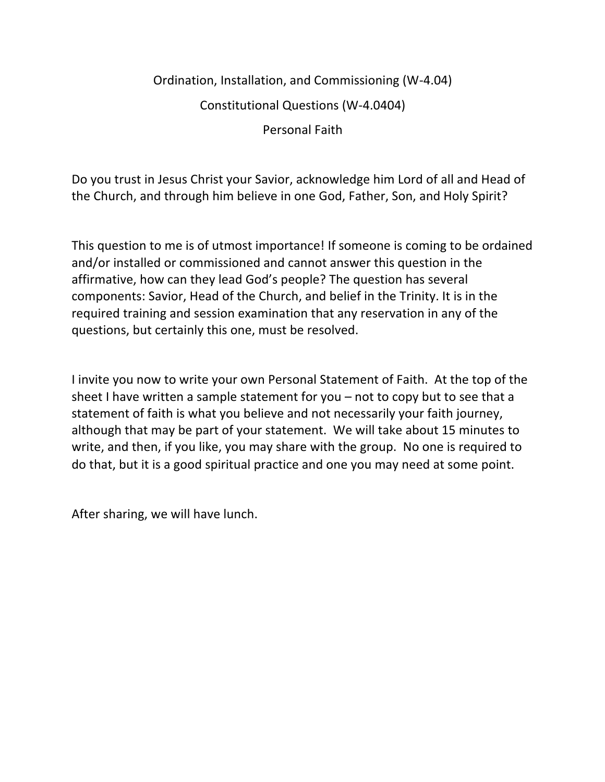# Ordination, Installation, and Commissioning (W-4.04) Constitutional Questions (W-4.0404) Personal Faith

Do you trust in Jesus Christ your Savior, acknowledge him Lord of all and Head of the Church, and through him believe in one God, Father, Son, and Holy Spirit?

This question to me is of utmost importance! If someone is coming to be ordained and/or installed or commissioned and cannot answer this question in the affirmative, how can they lead God's people? The question has several components: Savior, Head of the Church, and belief in the Trinity. It is in the required training and session examination that any reservation in any of the questions, but certainly this one, must be resolved.

I invite you now to write your own Personal Statement of Faith. At the top of the sheet I have written a sample statement for you – not to copy but to see that a statement of faith is what you believe and not necessarily your faith journey, although that may be part of your statement. We will take about 15 minutes to write, and then, if you like, you may share with the group. No one is required to do that, but it is a good spiritual practice and one you may need at some point.

After sharing, we will have lunch.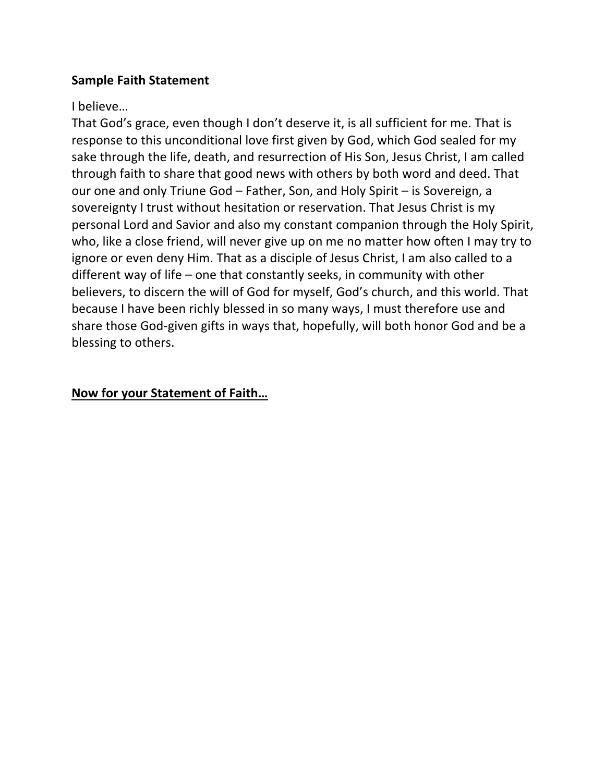#### **Sample Faith Statement**

#### I believe…

That God's grace, even though I don't deserve it, is all sufficient for me. That is response to this unconditional love first given by God, which God sealed for my sake through the life, death, and resurrection of His Son, Jesus Christ, I am called through faith to share that good news with others by both word and deed. That our one and only Triune God – Father, Son, and Holy Spirit – is Sovereign, a sovereignty I trust without hesitation or reservation. That Jesus Christ is my personal Lord and Savior and also my constant companion through the Holy Spirit, who, like a close friend, will never give up on me no matter how often I may try to ignore or even deny Him. That as a disciple of Jesus Christ, I am also called to a different way of life – one that constantly seeks, in community with other believers, to discern the will of God for myself, God's church, and this world. That because I have been richly blessed in so many ways, I must therefore use and share those God-given gifts in ways that, hopefully, will both honor God and be a blessing to others.

# **Now for your Statement of Faith…**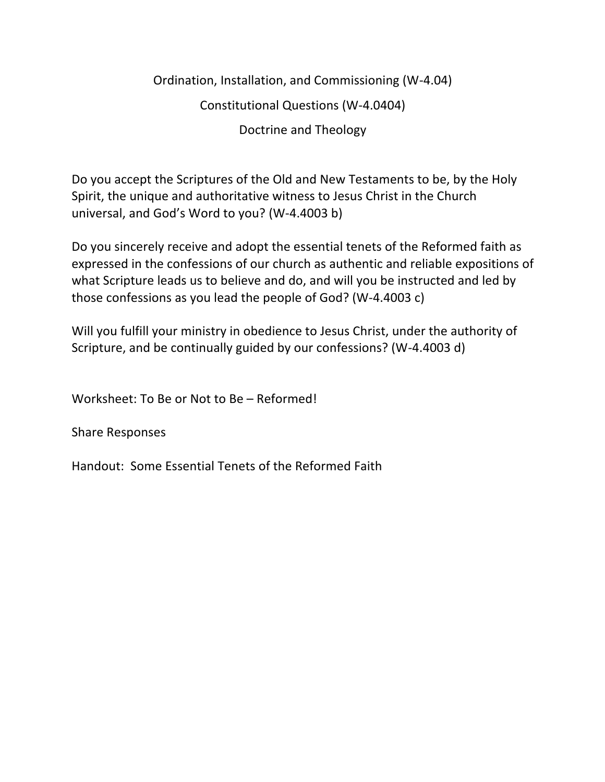Ordination, Installation, and Commissioning (W-4.04) Constitutional Questions (W-4.0404) Doctrine and Theology

Do you accept the Scriptures of the Old and New Testaments to be, by the Holy Spirit, the unique and authoritative witness to Jesus Christ in the Church universal, and God's Word to you? (W-4.4003 b)

Do you sincerely receive and adopt the essential tenets of the Reformed faith as expressed in the confessions of our church as authentic and reliable expositions of what Scripture leads us to believe and do, and will you be instructed and led by those confessions as you lead the people of God? (W-4.4003 c)

Will you fulfill your ministry in obedience to Jesus Christ, under the authority of Scripture, and be continually guided by our confessions? (W-4.4003 d)

Worksheet: To Be or Not to Be – Reformed!

Share Responses

Handout: Some Essential Tenets of the Reformed Faith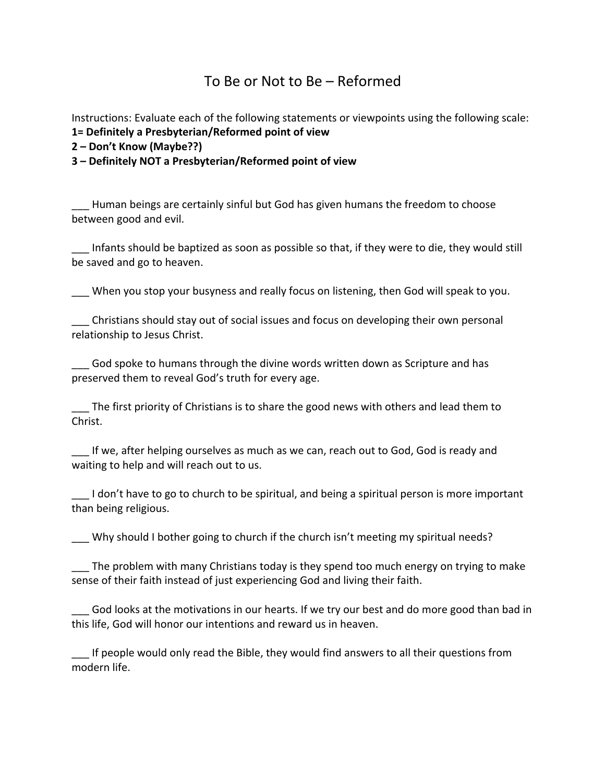# To Be or Not to Be – Reformed

Instructions: Evaluate each of the following statements or viewpoints using the following scale: **1= Definitely a Presbyterian/Reformed point of view**

**2 – Don't Know (Maybe??)**

**3 – Definitely NOT a Presbyterian/Reformed point of view**

\_\_\_ Human beings are certainly sinful but God has given humans the freedom to choose between good and evil.

\_\_\_ Infants should be baptized as soon as possible so that, if they were to die, they would still be saved and go to heaven.

When you stop your busyness and really focus on listening, then God will speak to you.

\_\_\_ Christians should stay out of social issues and focus on developing their own personal relationship to Jesus Christ.

God spoke to humans through the divine words written down as Scripture and has preserved them to reveal God's truth for every age.

\_\_\_ The first priority of Christians is to share the good news with others and lead them to Christ.

If we, after helping ourselves as much as we can, reach out to God, God is ready and waiting to help and will reach out to us.

I don't have to go to church to be spiritual, and being a spiritual person is more important than being religious.

\_\_\_ Why should I bother going to church if the church isn't meeting my spiritual needs?

\_\_\_ The problem with many Christians today is they spend too much energy on trying to make sense of their faith instead of just experiencing God and living their faith.

\_\_\_ God looks at the motivations in our hearts. If we try our best and do more good than bad in this life, God will honor our intentions and reward us in heaven.

\_\_\_ If people would only read the Bible, they would find answers to all their questions from modern life.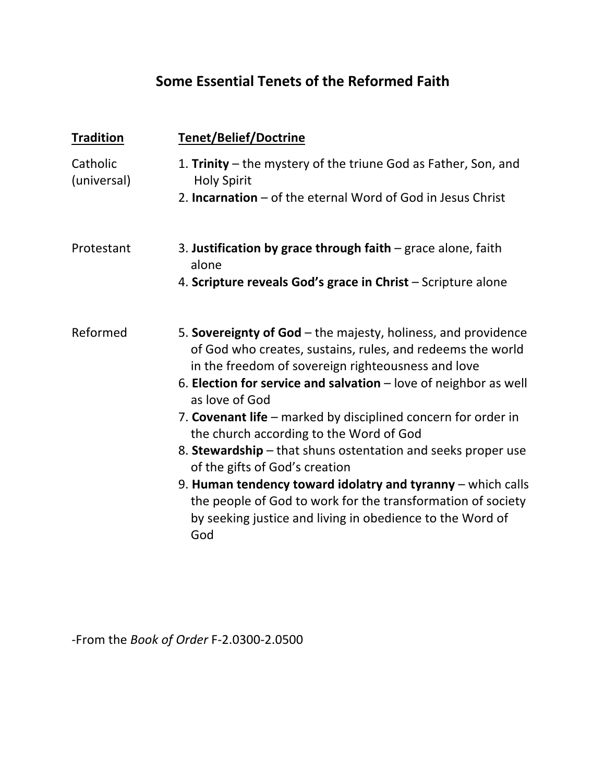# **Some Essential Tenets of the Reformed Faith**

| <b>Tradition</b>        | <b>Tenet/Belief/Doctrine</b>                                                                                                                                                                                                                                                                                                                                                                                                                          |  |  |
|-------------------------|-------------------------------------------------------------------------------------------------------------------------------------------------------------------------------------------------------------------------------------------------------------------------------------------------------------------------------------------------------------------------------------------------------------------------------------------------------|--|--|
| Catholic<br>(universal) | 1. Trinity – the mystery of the triune God as Father, Son, and<br><b>Holy Spirit</b>                                                                                                                                                                                                                                                                                                                                                                  |  |  |
|                         | 2. Incarnation - of the eternal Word of God in Jesus Christ                                                                                                                                                                                                                                                                                                                                                                                           |  |  |
| Protestant              | 3. Justification by grace through faith $-$ grace alone, faith<br>alone                                                                                                                                                                                                                                                                                                                                                                               |  |  |
|                         | 4. Scripture reveals God's grace in Christ - Scripture alone                                                                                                                                                                                                                                                                                                                                                                                          |  |  |
| Reformed                | 5. Sovereignty of God – the majesty, holiness, and providence<br>of God who creates, sustains, rules, and redeems the world<br>in the freedom of sovereign righteousness and love<br>6. Election for service and salvation $-$ love of neighbor as well<br>as love of God<br>7. Covenant life – marked by disciplined concern for order in<br>the church according to the Word of God<br>8. Stewardship – that shuns ostentation and seeks proper use |  |  |
|                         | of the gifts of God's creation<br>9. Human tendency toward idolatry and tyranny - which calls<br>the people of God to work for the transformation of society<br>by seeking justice and living in obedience to the Word of<br>God                                                                                                                                                                                                                      |  |  |

-From the *Book of Order* F-2.0300-2.0500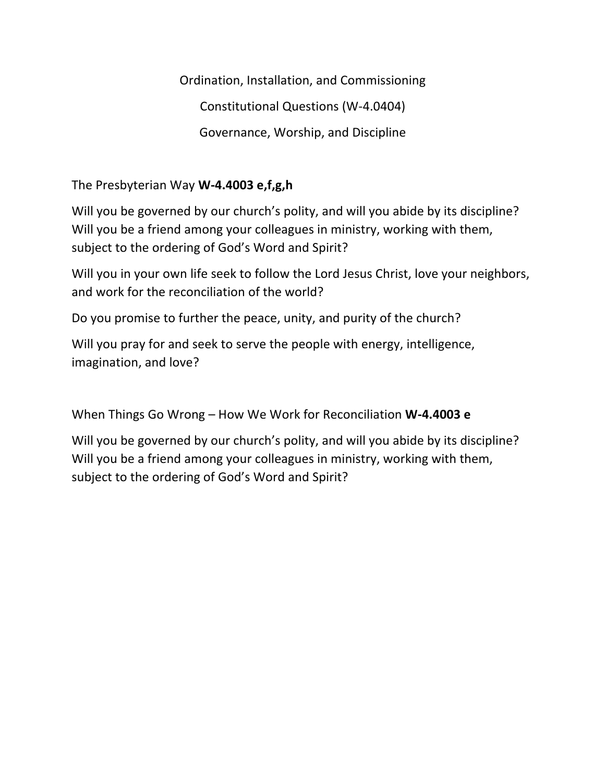Ordination, Installation, and Commissioning Constitutional Questions (W-4.0404) Governance, Worship, and Discipline

The Presbyterian Way **W-4.4003 e,f,g,h**

Will you be governed by our church's polity, and will you abide by its discipline? Will you be a friend among your colleagues in ministry, working with them, subject to the ordering of God's Word and Spirit?

Will you in your own life seek to follow the Lord Jesus Christ, love your neighbors, and work for the reconciliation of the world?

Do you promise to further the peace, unity, and purity of the church?

Will you pray for and seek to serve the people with energy, intelligence, imagination, and love?

When Things Go Wrong – How We Work for Reconciliation **W-4.4003 e**

Will you be governed by our church's polity, and will you abide by its discipline? Will you be a friend among your colleagues in ministry, working with them, subject to the ordering of God's Word and Spirit?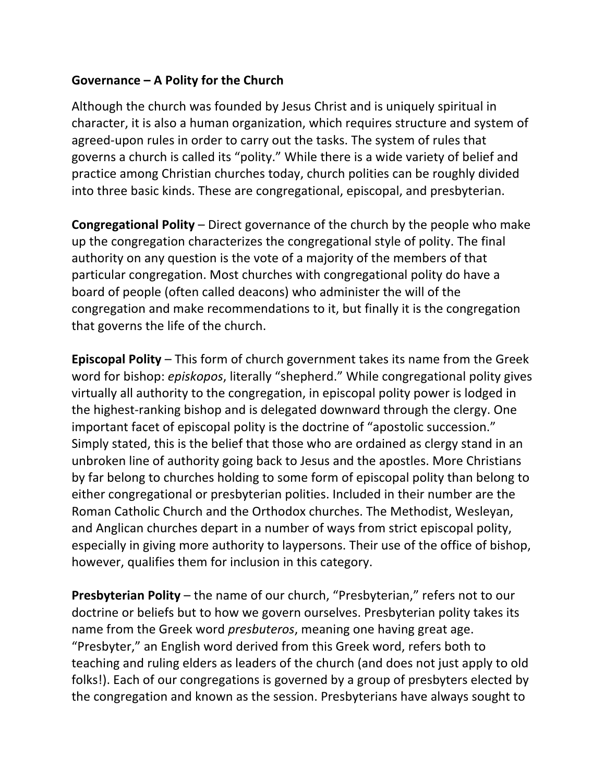# **Governance – A Polity for the Church**

Although the church was founded by Jesus Christ and is uniquely spiritual in character, it is also a human organization, which requires structure and system of agreed-upon rules in order to carry out the tasks. The system of rules that governs a church is called its "polity." While there is a wide variety of belief and practice among Christian churches today, church polities can be roughly divided into three basic kinds. These are congregational, episcopal, and presbyterian.

**Congregational Polity** – Direct governance of the church by the people who make up the congregation characterizes the congregational style of polity. The final authority on any question is the vote of a majority of the members of that particular congregation. Most churches with congregational polity do have a board of people (often called deacons) who administer the will of the congregation and make recommendations to it, but finally it is the congregation that governs the life of the church.

**Episcopal Polity** – This form of church government takes its name from the Greek word for bishop: *episkopos*, literally "shepherd." While congregational polity gives virtually all authority to the congregation, in episcopal polity power is lodged in the highest-ranking bishop and is delegated downward through the clergy. One important facet of episcopal polity is the doctrine of "apostolic succession." Simply stated, this is the belief that those who are ordained as clergy stand in an unbroken line of authority going back to Jesus and the apostles. More Christians by far belong to churches holding to some form of episcopal polity than belong to either congregational or presbyterian polities. Included in their number are the Roman Catholic Church and the Orthodox churches. The Methodist, Wesleyan, and Anglican churches depart in a number of ways from strict episcopal polity, especially in giving more authority to laypersons. Their use of the office of bishop, however, qualifies them for inclusion in this category.

**Presbyterian Polity** – the name of our church, "Presbyterian," refers not to our doctrine or beliefs but to how we govern ourselves. Presbyterian polity takes its name from the Greek word *presbuteros*, meaning one having great age. "Presbyter," an English word derived from this Greek word, refers both to teaching and ruling elders as leaders of the church (and does not just apply to old folks!). Each of our congregations is governed by a group of presbyters elected by the congregation and known as the session. Presbyterians have always sought to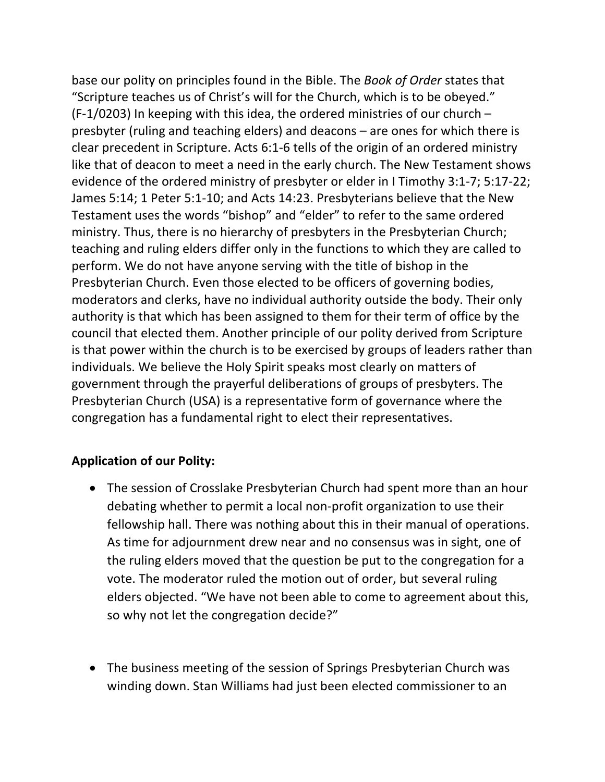base our polity on principles found in the Bible. The *Book of Order* states that "Scripture teaches us of Christ's will for the Church, which is to be obeyed." (F-1/0203) In keeping with this idea, the ordered ministries of our church – presbyter (ruling and teaching elders) and deacons – are ones for which there is clear precedent in Scripture. Acts 6:1-6 tells of the origin of an ordered ministry like that of deacon to meet a need in the early church. The New Testament shows evidence of the ordered ministry of presbyter or elder in I Timothy 3:1-7; 5:17-22; James 5:14; 1 Peter 5:1-10; and Acts 14:23. Presbyterians believe that the New Testament uses the words "bishop" and "elder" to refer to the same ordered ministry. Thus, there is no hierarchy of presbyters in the Presbyterian Church; teaching and ruling elders differ only in the functions to which they are called to perform. We do not have anyone serving with the title of bishop in the Presbyterian Church. Even those elected to be officers of governing bodies, moderators and clerks, have no individual authority outside the body. Their only authority is that which has been assigned to them for their term of office by the council that elected them. Another principle of our polity derived from Scripture is that power within the church is to be exercised by groups of leaders rather than individuals. We believe the Holy Spirit speaks most clearly on matters of government through the prayerful deliberations of groups of presbyters. The Presbyterian Church (USA) is a representative form of governance where the congregation has a fundamental right to elect their representatives.

# **Application of our Polity:**

- The session of Crosslake Presbyterian Church had spent more than an hour debating whether to permit a local non-profit organization to use their fellowship hall. There was nothing about this in their manual of operations. As time for adjournment drew near and no consensus was in sight, one of the ruling elders moved that the question be put to the congregation for a vote. The moderator ruled the motion out of order, but several ruling elders objected. "We have not been able to come to agreement about this, so why not let the congregation decide?"
- The business meeting of the session of Springs Presbyterian Church was winding down. Stan Williams had just been elected commissioner to an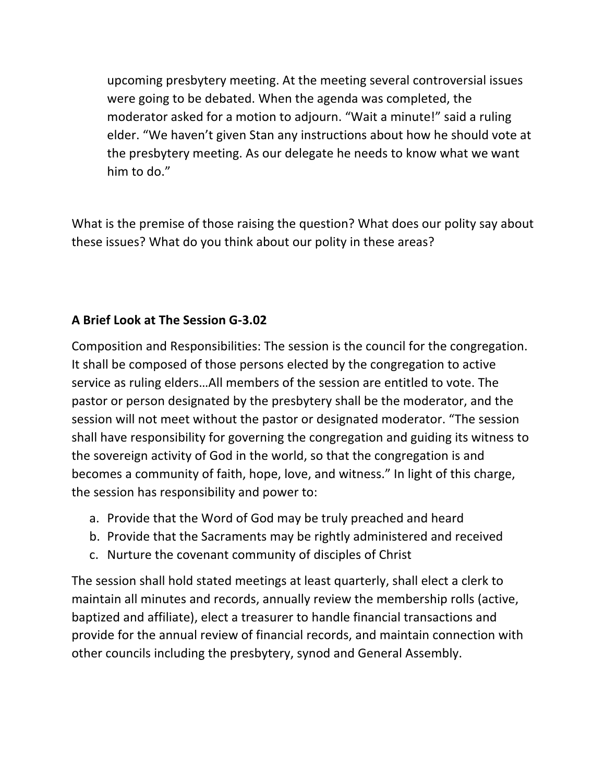upcoming presbytery meeting. At the meeting several controversial issues were going to be debated. When the agenda was completed, the moderator asked for a motion to adjourn. "Wait a minute!" said a ruling elder. "We haven't given Stan any instructions about how he should vote at the presbytery meeting. As our delegate he needs to know what we want him to do."

What is the premise of those raising the question? What does our polity say about these issues? What do you think about our polity in these areas?

# **A Brief Look at The Session G-3.02**

Composition and Responsibilities: The session is the council for the congregation. It shall be composed of those persons elected by the congregation to active service as ruling elders…All members of the session are entitled to vote. The pastor or person designated by the presbytery shall be the moderator, and the session will not meet without the pastor or designated moderator. "The session shall have responsibility for governing the congregation and guiding its witness to the sovereign activity of God in the world, so that the congregation is and becomes a community of faith, hope, love, and witness." In light of this charge, the session has responsibility and power to:

- a. Provide that the Word of God may be truly preached and heard
- b. Provide that the Sacraments may be rightly administered and received
- c. Nurture the covenant community of disciples of Christ

The session shall hold stated meetings at least quarterly, shall elect a clerk to maintain all minutes and records, annually review the membership rolls (active, baptized and affiliate), elect a treasurer to handle financial transactions and provide for the annual review of financial records, and maintain connection with other councils including the presbytery, synod and General Assembly.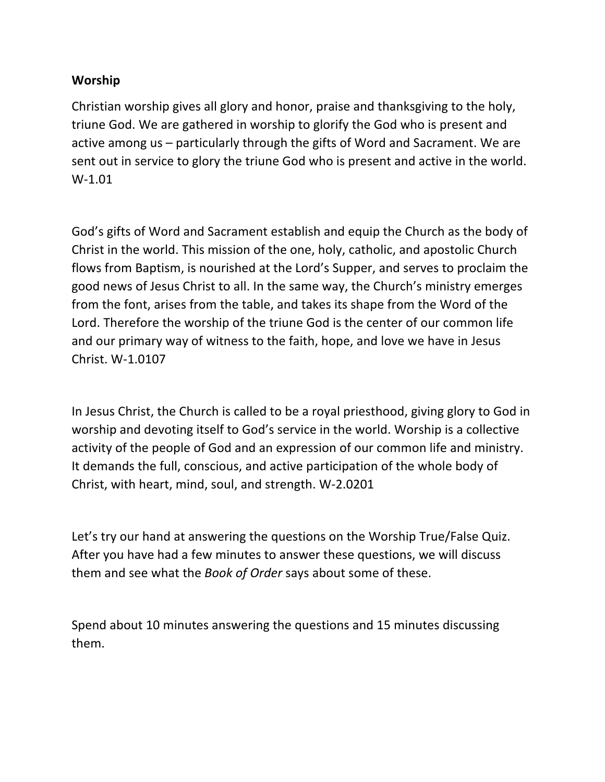#### **Worship**

Christian worship gives all glory and honor, praise and thanksgiving to the holy, triune God. We are gathered in worship to glorify the God who is present and active among us – particularly through the gifts of Word and Sacrament. We are sent out in service to glory the triune God who is present and active in the world. W-1.01

God's gifts of Word and Sacrament establish and equip the Church as the body of Christ in the world. This mission of the one, holy, catholic, and apostolic Church flows from Baptism, is nourished at the Lord's Supper, and serves to proclaim the good news of Jesus Christ to all. In the same way, the Church's ministry emerges from the font, arises from the table, and takes its shape from the Word of the Lord. Therefore the worship of the triune God is the center of our common life and our primary way of witness to the faith, hope, and love we have in Jesus Christ. W-1.0107

In Jesus Christ, the Church is called to be a royal priesthood, giving glory to God in worship and devoting itself to God's service in the world. Worship is a collective activity of the people of God and an expression of our common life and ministry. It demands the full, conscious, and active participation of the whole body of Christ, with heart, mind, soul, and strength. W-2.0201

Let's try our hand at answering the questions on the Worship True/False Quiz. After you have had a few minutes to answer these questions, we will discuss them and see what the *Book of Order* says about some of these.

Spend about 10 minutes answering the questions and 15 minutes discussing them.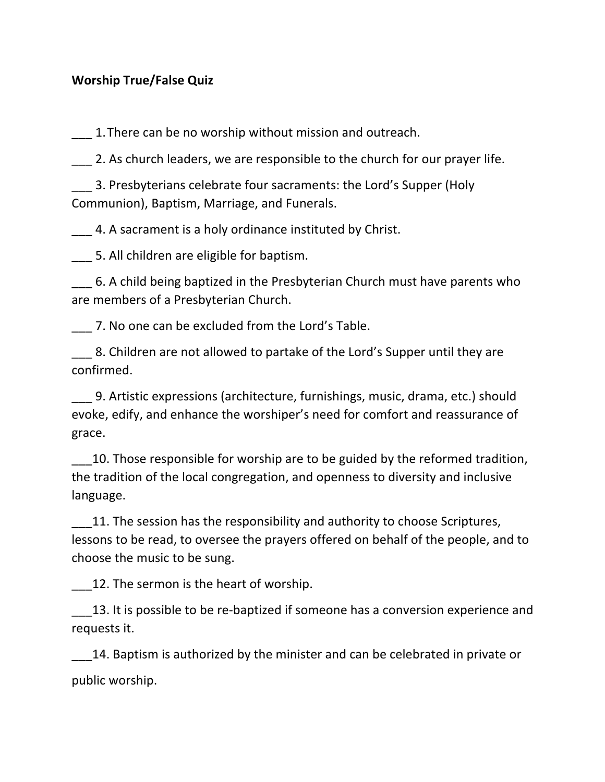#### **Worship True/False Quiz**

1. There can be no worship without mission and outreach.

2. As church leaders, we are responsible to the church for our prayer life.

\_\_\_ 3. Presbyterians celebrate four sacraments: the Lord's Supper (Holy Communion), Baptism, Marriage, and Funerals.

\_\_\_ 4. A sacrament is a holy ordinance instituted by Christ.

\_\_\_ 5. All children are eligible for baptism.

\_\_\_ 6. A child being baptized in the Presbyterian Church must have parents who are members of a Presbyterian Church.

\_\_\_ 7. No one can be excluded from the Lord's Table.

8. Children are not allowed to partake of the Lord's Supper until they are confirmed.

\_\_\_ 9. Artistic expressions (architecture, furnishings, music, drama, etc.) should evoke, edify, and enhance the worshiper's need for comfort and reassurance of grace.

\_\_\_10. Those responsible for worship are to be guided by the reformed tradition, the tradition of the local congregation, and openness to diversity and inclusive language.

11. The session has the responsibility and authority to choose Scriptures, lessons to be read, to oversee the prayers offered on behalf of the people, and to choose the music to be sung.

12. The sermon is the heart of worship.

13. It is possible to be re-baptized if someone has a conversion experience and requests it.

14. Baptism is authorized by the minister and can be celebrated in private or public worship.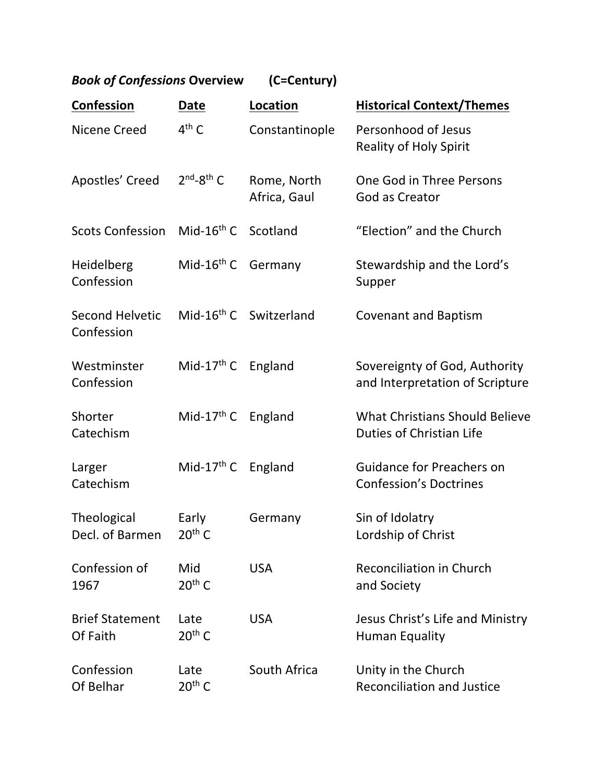| <b>Book of Confessions Overview</b>  |                        | (C=Century)                        |                                                                   |
|--------------------------------------|------------------------|------------------------------------|-------------------------------------------------------------------|
| Confession                           | Date                   | Location                           | <b>Historical Context/Themes</b>                                  |
| Nicene Creed                         | $4th$ C                | Constantinople                     | Personhood of Jesus<br><b>Reality of Holy Spirit</b>              |
| Apostles' Creed                      | $2nd-8th$ C            | Rome, North<br>Africa, Gaul        | One God in Three Persons<br>God as Creator                        |
| <b>Scots Confession</b>              | Mid-16 <sup>th</sup> C | Scotland                           | "Election" and the Church                                         |
| Heidelberg<br>Confession             | Mid- $16th$ C          | Germany                            | Stewardship and the Lord's<br>Supper                              |
| <b>Second Helvetic</b><br>Confession |                        | Mid-16 <sup>th</sup> C Switzerland | <b>Covenant and Baptism</b>                                       |
| Westminster<br>Confession            | Mid-17 <sup>th</sup> C | England                            | Sovereignty of God, Authority<br>and Interpretation of Scripture  |
| Shorter<br>Catechism                 | Mid-17 <sup>th</sup> C | England                            | <b>What Christians Should Believe</b><br>Duties of Christian Life |
| Larger<br>Catechism                  | Mid-17 <sup>th</sup> C | England                            | <b>Guidance for Preachers on</b><br><b>Confession's Doctrines</b> |
| Theological<br>Decl. of Barmen       | Early<br>$20th$ C      | Germany                            | Sin of Idolatry<br>Lordship of Christ                             |
| Confession of<br>1967                | Mid<br>$20th$ C        | <b>USA</b>                         | Reconciliation in Church<br>and Society                           |
| <b>Brief Statement</b><br>Of Faith   | Late<br>$20th$ C       | <b>USA</b>                         | Jesus Christ's Life and Ministry<br><b>Human Equality</b>         |
| Confession<br>Of Belhar              | Late<br>$20th$ C       | South Africa                       | Unity in the Church<br><b>Reconciliation and Justice</b>          |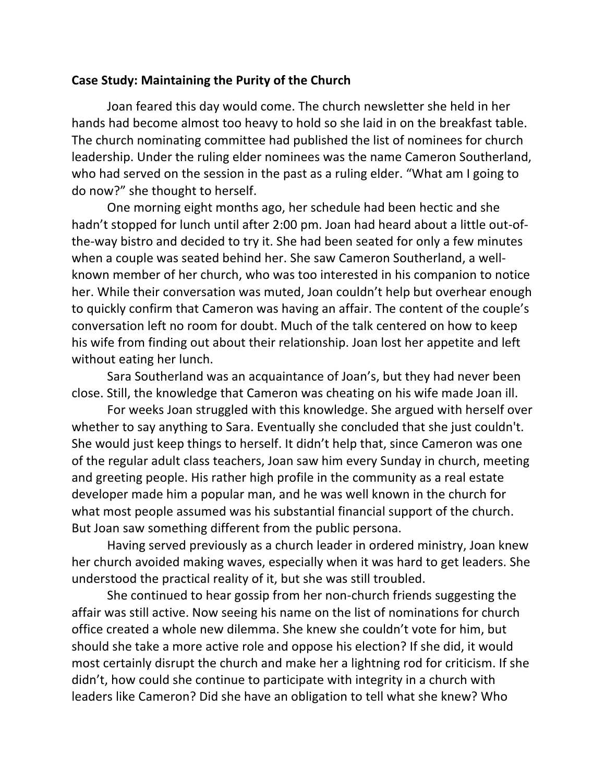#### **Case Study: Maintaining the Purity of the Church**

Joan feared this day would come. The church newsletter she held in her hands had become almost too heavy to hold so she laid in on the breakfast table. The church nominating committee had published the list of nominees for church leadership. Under the ruling elder nominees was the name Cameron Southerland, who had served on the session in the past as a ruling elder. "What am I going to do now?" she thought to herself.

One morning eight months ago, her schedule had been hectic and she hadn't stopped for lunch until after 2:00 pm. Joan had heard about a little out-ofthe-way bistro and decided to try it. She had been seated for only a few minutes when a couple was seated behind her. She saw Cameron Southerland, a wellknown member of her church, who was too interested in his companion to notice her. While their conversation was muted, Joan couldn't help but overhear enough to quickly confirm that Cameron was having an affair. The content of the couple's conversation left no room for doubt. Much of the talk centered on how to keep his wife from finding out about their relationship. Joan lost her appetite and left without eating her lunch.

Sara Southerland was an acquaintance of Joan's, but they had never been close. Still, the knowledge that Cameron was cheating on his wife made Joan ill.

For weeks Joan struggled with this knowledge. She argued with herself over whether to say anything to Sara. Eventually she concluded that she just couldn't. She would just keep things to herself. It didn't help that, since Cameron was one of the regular adult class teachers, Joan saw him every Sunday in church, meeting and greeting people. His rather high profile in the community as a real estate developer made him a popular man, and he was well known in the church for what most people assumed was his substantial financial support of the church. But Joan saw something different from the public persona.

Having served previously as a church leader in ordered ministry, Joan knew her church avoided making waves, especially when it was hard to get leaders. She understood the practical reality of it, but she was still troubled.

She continued to hear gossip from her non-church friends suggesting the affair was still active. Now seeing his name on the list of nominations for church office created a whole new dilemma. She knew she couldn't vote for him, but should she take a more active role and oppose his election? If she did, it would most certainly disrupt the church and make her a lightning rod for criticism. If she didn't, how could she continue to participate with integrity in a church with leaders like Cameron? Did she have an obligation to tell what she knew? Who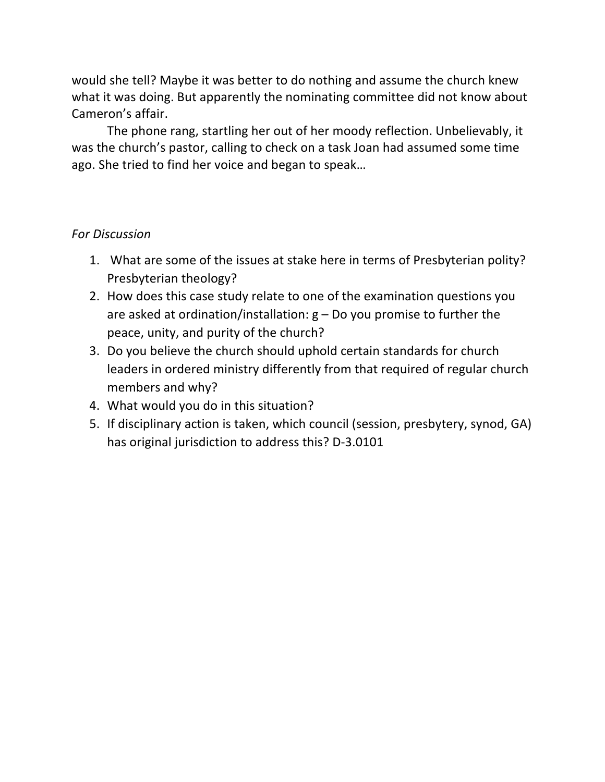would she tell? Maybe it was better to do nothing and assume the church knew what it was doing. But apparently the nominating committee did not know about Cameron's affair.

The phone rang, startling her out of her moody reflection. Unbelievably, it was the church's pastor, calling to check on a task Joan had assumed some time ago. She tried to find her voice and began to speak…

#### *For Discussion*

- 1. What are some of the issues at stake here in terms of Presbyterian polity? Presbyterian theology?
- 2. How does this case study relate to one of the examination questions you are asked at ordination/installation:  $g - Do$  you promise to further the peace, unity, and purity of the church?
- 3. Do you believe the church should uphold certain standards for church leaders in ordered ministry differently from that required of regular church members and why?
- 4. What would you do in this situation?
- 5. If disciplinary action is taken, which council (session, presbytery, synod, GA) has original jurisdiction to address this? D-3.0101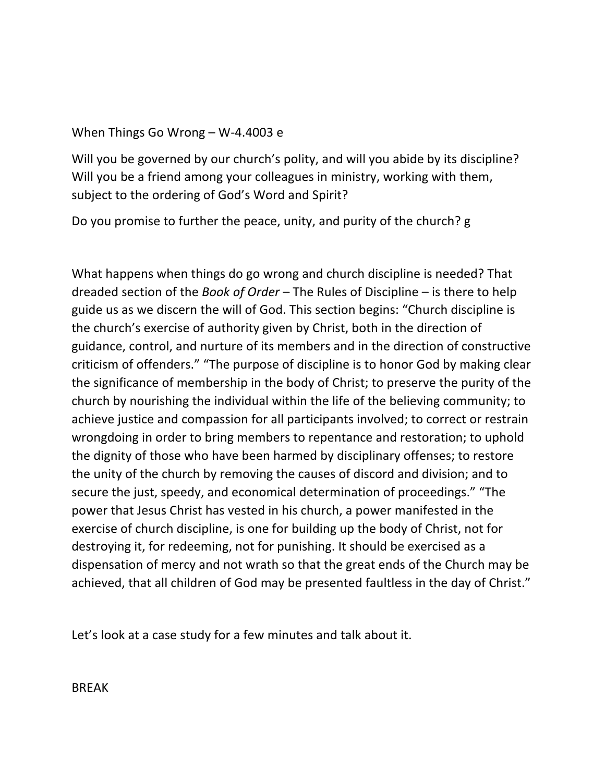#### When Things Go Wrong – W-4.4003 e

Will you be governed by our church's polity, and will you abide by its discipline? Will you be a friend among your colleagues in ministry, working with them, subject to the ordering of God's Word and Spirit?

Do you promise to further the peace, unity, and purity of the church? g

What happens when things do go wrong and church discipline is needed? That dreaded section of the *Book of Order* – The Rules of Discipline – is there to help guide us as we discern the will of God. This section begins: "Church discipline is the church's exercise of authority given by Christ, both in the direction of guidance, control, and nurture of its members and in the direction of constructive criticism of offenders." "The purpose of discipline is to honor God by making clear the significance of membership in the body of Christ; to preserve the purity of the church by nourishing the individual within the life of the believing community; to achieve justice and compassion for all participants involved; to correct or restrain wrongdoing in order to bring members to repentance and restoration; to uphold the dignity of those who have been harmed by disciplinary offenses; to restore the unity of the church by removing the causes of discord and division; and to secure the just, speedy, and economical determination of proceedings." "The power that Jesus Christ has vested in his church, a power manifested in the exercise of church discipline, is one for building up the body of Christ, not for destroying it, for redeeming, not for punishing. It should be exercised as a dispensation of mercy and not wrath so that the great ends of the Church may be achieved, that all children of God may be presented faultless in the day of Christ."

Let's look at a case study for a few minutes and talk about it.

**BRFAK**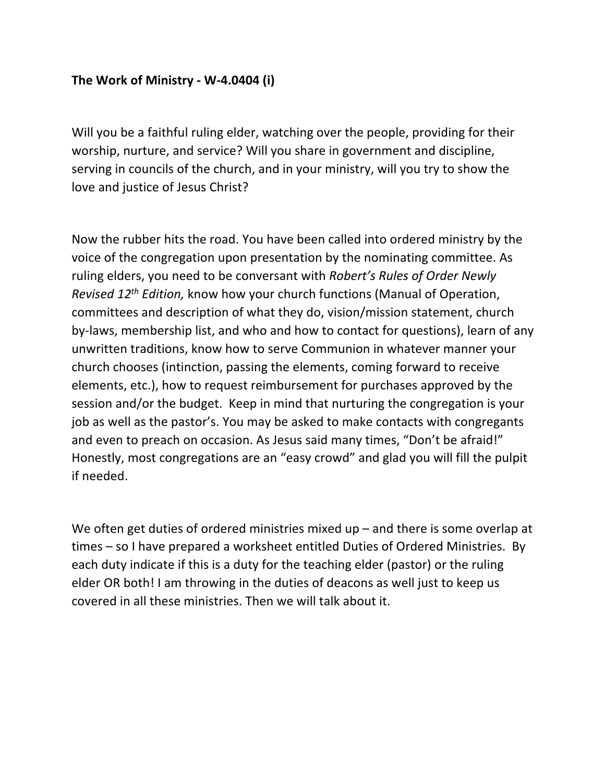#### **The Work of Ministry - W-4.0404 (i)**

Will you be a faithful ruling elder, watching over the people, providing for their worship, nurture, and service? Will you share in government and discipline, serving in councils of the church, and in your ministry, will you try to show the love and justice of Jesus Christ?

Now the rubber hits the road. You have been called into ordered ministry by the voice of the congregation upon presentation by the nominating committee. As ruling elders, you need to be conversant with *Robert's Rules of Order Newly Revised 12th Edition,* know how your church functions (Manual of Operation, committees and description of what they do, vision/mission statement, church by-laws, membership list, and who and how to contact for questions), learn of any unwritten traditions, know how to serve Communion in whatever manner your church chooses (intinction, passing the elements, coming forward to receive elements, etc.), how to request reimbursement for purchases approved by the session and/or the budget. Keep in mind that nurturing the congregation is your job as well as the pastor's. You may be asked to make contacts with congregants and even to preach on occasion. As Jesus said many times, "Don't be afraid!" Honestly, most congregations are an "easy crowd" and glad you will fill the pulpit if needed.

We often get duties of ordered ministries mixed up – and there is some overlap at times – so I have prepared a worksheet entitled Duties of Ordered Ministries. By each duty indicate if this is a duty for the teaching elder (pastor) or the ruling elder OR both! I am throwing in the duties of deacons as well just to keep us covered in all these ministries. Then we will talk about it.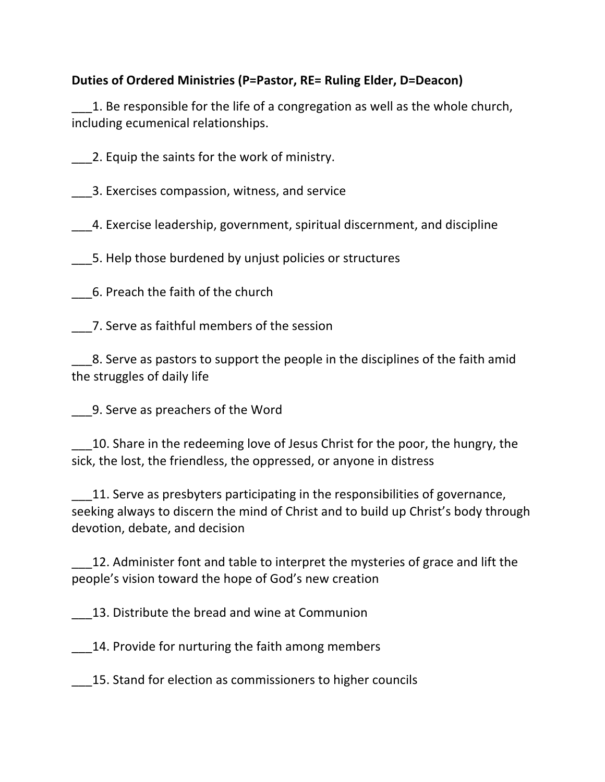# **Duties of Ordered Ministries (P=Pastor, RE= Ruling Elder, D=Deacon)**

1. Be responsible for the life of a congregation as well as the whole church, including ecumenical relationships.

\_\_\_2. Equip the saints for the work of ministry.

\_\_\_3. Exercises compassion, witness, and service

\_\_\_4. Exercise leadership, government, spiritual discernment, and discipline

\_\_\_5. Help those burdened by unjust policies or structures

\_\_\_6. Preach the faith of the church

\_\_\_7. Serve as faithful members of the session

\_\_\_8. Serve as pastors to support the people in the disciplines of the faith amid the struggles of daily life

\_\_\_9. Serve as preachers of the Word

10. Share in the redeeming love of Jesus Christ for the poor, the hungry, the sick, the lost, the friendless, the oppressed, or anyone in distress

11. Serve as presbyters participating in the responsibilities of governance, seeking always to discern the mind of Christ and to build up Christ's body through devotion, debate, and decision

12. Administer font and table to interpret the mysteries of grace and lift the people's vision toward the hope of God's new creation

13. Distribute the bread and wine at Communion

\_\_\_14. Provide for nurturing the faith among members

\_\_\_15. Stand for election as commissioners to higher councils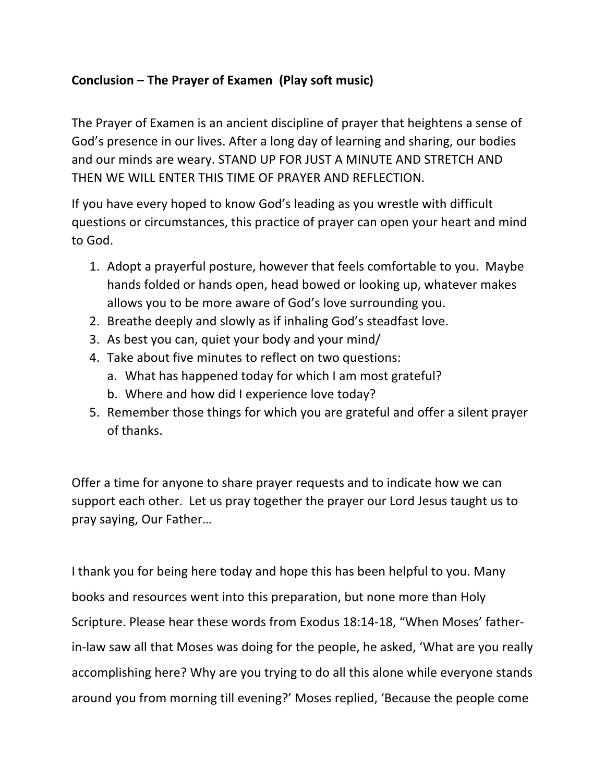# **Conclusion – The Prayer of Examen (Play soft music)**

The Prayer of Examen is an ancient discipline of prayer that heightens a sense of God's presence in our lives. After a long day of learning and sharing, our bodies and our minds are weary. STAND UP FOR JUST A MINUTE AND STRETCH AND THEN WE WILL ENTER THIS TIME OF PRAYER AND REFLECTION.

If you have every hoped to know God's leading as you wrestle with difficult questions or circumstances, this practice of prayer can open your heart and mind to God.

- 1. Adopt a prayerful posture, however that feels comfortable to you. Maybe hands folded or hands open, head bowed or looking up, whatever makes allows you to be more aware of God's love surrounding you.
- 2. Breathe deeply and slowly as if inhaling God's steadfast love.
- 3. As best you can, quiet your body and your mind/
- 4. Take about five minutes to reflect on two questions:
	- a. What has happened today for which I am most grateful?
	- b. Where and how did I experience love today?
- 5. Remember those things for which you are grateful and offer a silent prayer of thanks.

Offer a time for anyone to share prayer requests and to indicate how we can support each other. Let us pray together the prayer our Lord Jesus taught us to pray saying, Our Father…

I thank you for being here today and hope this has been helpful to you. Many books and resources went into this preparation, but none more than Holy Scripture. Please hear these words from Exodus 18:14-18, "When Moses' fatherin-law saw all that Moses was doing for the people, he asked, 'What are you really accomplishing here? Why are you trying to do all this alone while everyone stands around you from morning till evening?' Moses replied, 'Because the people come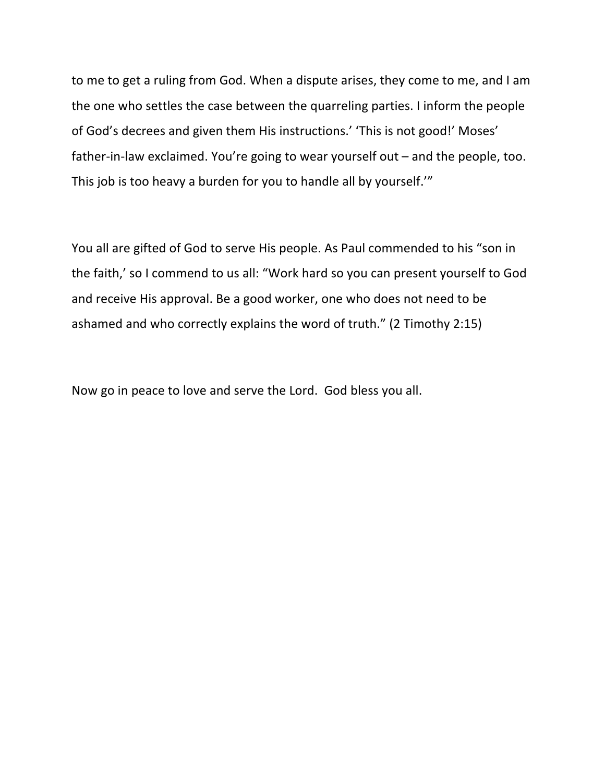to me to get a ruling from God. When a dispute arises, they come to me, and I am the one who settles the case between the quarreling parties. I inform the people of God's decrees and given them His instructions.' 'This is not good!' Moses' father-in-law exclaimed. You're going to wear yourself out – and the people, too. This job is too heavy a burden for you to handle all by yourself.'"

You all are gifted of God to serve His people. As Paul commended to his "son in the faith,' so I commend to us all: "Work hard so you can present yourself to God and receive His approval. Be a good worker, one who does not need to be ashamed and who correctly explains the word of truth." (2 Timothy 2:15)

Now go in peace to love and serve the Lord. God bless you all.